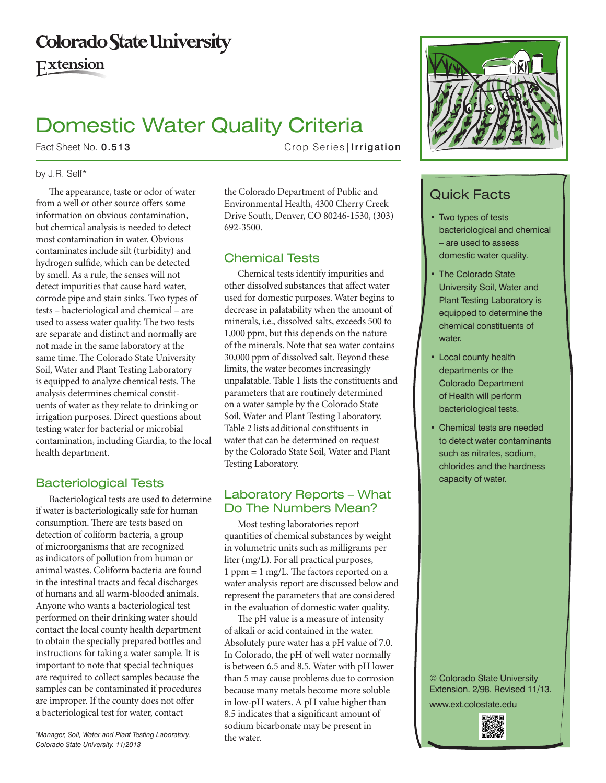# **Colorado State University**

Extension

# Domestic Water Quality Criteria

Fact Sheet No. 0.513 Crop Series | Irrigation

### by J.R. Self\*

The appearance, taste or odor of water from a well or other source offers some information on obvious contamination, but chemical analysis is needed to detect most contamination in water. Obvious contaminates include silt (turbidity) and hydrogen sulfide, which can be detected by smell. As a rule, the senses will not detect impurities that cause hard water, corrode pipe and stain sinks. Two types of tests – bacteriological and chemical – are used to assess water quality. The two tests are separate and distinct and normally are not made in the same laboratory at the same time. The Colorado State University Soil, Water and Plant Testing Laboratory is equipped to analyze chemical tests. The analysis determines chemical constituents of water as they relate to drinking or irrigation purposes. Direct questions about testing water for bacterial or microbial contamination, including Giardia, to the local health department.

# Bacteriological Tests

Bacteriological tests are used to determine if water is bacteriologically safe for human consumption. There are tests based on detection of coliform bacteria, a group of microorganisms that are recognized as indicators of pollution from human or animal wastes. Coliform bacteria are found in the intestinal tracts and fecal discharges of humans and all warm-blooded animals. Anyone who wants a bacteriological test performed on their drinking water should contact the local county health department to obtain the specially prepared bottles and instructions for taking a water sample. It is important to note that special techniques are required to collect samples because the samples can be contaminated if procedures are improper. If the county does not offer a bacteriological test for water, contact

the water. *\* Manager, Soil, Water and Plant Testing Laboratory, Colorado State University. 11/2013*

the Colorado Department of Public and Environmental Health, 4300 Cherry Creek Drive South, Denver, CO 80246-1530, (303) 692-3500.

# Chemical Tests

Chemical tests identify impurities and other dissolved substances that affect water used for domestic purposes. Water begins to decrease in palatability when the amount of minerals, i.e., dissolved salts, exceeds 500 to 1,000 ppm, but this depends on the nature of the minerals. Note that sea water contains 30,000 ppm of dissolved salt. Beyond these limits, the water becomes increasingly unpalatable. Table 1 lists the constituents and parameters that are routinely determined on a water sample by the Colorado State Soil, Water and Plant Testing Laboratory. Table 2 lists additional constituents in water that can be determined on request by the Colorado State Soil, Water and Plant Testing Laboratory.

# Laboratory Reports – What Do The Numbers Mean?

Most testing laboratories report quantities of chemical substances by weight in volumetric units such as milligrams per liter (mg/L). For all practical purposes, 1 ppm = 1 mg/L. The factors reported on a water analysis report are discussed below and represent the parameters that are considered in the evaluation of domestic water quality.

The pH value is a measure of intensity of alkali or acid contained in the water. Absolutely pure water has a pH value of 7.0. In Colorado, the pH of well water normally is between 6.5 and 8.5. Water with pH lower than 5 may cause problems due to corrosion because many metals become more soluble in low-pH waters. A pH value higher than 8.5 indicates that a significant amount of sodium bicarbonate may be present in



# Quick Facts

- Two types of tests  $$ bacteriological and chemical – are used to assess domestic water quality.
- The Colorado State University Soil, Water and Plant Testing Laboratory is equipped to determine the chemical constituents of water.
- **Local county health** departments or the Colorado Department of Health will perform bacteriological tests.
- Chemical tests are needed to detect water contaminants such as nitrates, sodium, chlorides and the hardness capacity of water.

© Colorado State University Extension. 2/98. Revised 11/13. www.ext.colostate.edu

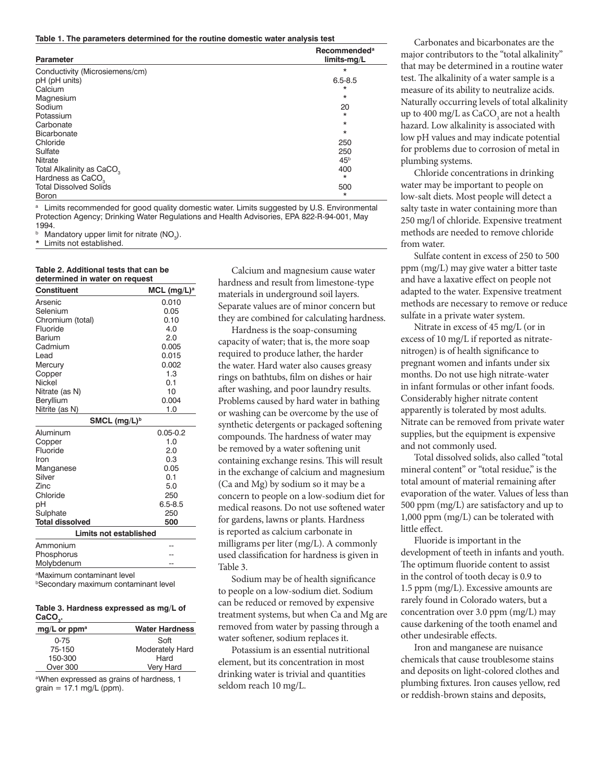**Table 1. The parameters determined for the routine domestic water analysis test**

| <b>Parameter</b>                      | <b>Recommended<sup>a</sup></b><br>limits-mg/L |
|---------------------------------------|-----------------------------------------------|
| Conductivity (Microsiemens/cm)        | *                                             |
| pH (pH units)                         | $6.5 - 8.5$                                   |
| Calcium                               | $\star$                                       |
| Magnesium                             | *                                             |
| Sodium                                | 20                                            |
| Potassium                             | *                                             |
| Carbonate                             | *                                             |
| Bicarbonate                           | *                                             |
| Chloride                              | 250                                           |
| Sulfate                               | 250                                           |
| Nitrate                               | 45 <sup>b</sup>                               |
| Total Alkalinity as CaCO <sub>2</sub> | 400                                           |
| Hardness as CaCO <sub>2</sub>         | *                                             |
| <b>Total Dissolved Solids</b>         | 500                                           |
| <b>Boron</b>                          | *                                             |

<sup>a</sup> Limits recommended for good quality domestic water. Limits suggested by U.S. Environmental Protection Agency; Drinking Water Regulations and Health Advisories, EPA 822-R-94-001, May 1994.

 $^{\circ}$  Mandatory upper limit for nitrate (NO<sub>3</sub>).

\* Limits not established.

#### **Table 2. Additional tests that can be determined in water on request**

| <b>Constituent</b>     | $MCL$ (mg/L) <sup>a</sup> |  |
|------------------------|---------------------------|--|
| Arsenic                | 0.010                     |  |
| Selenium               | 0.05                      |  |
| Chromium (total)       | 0.10                      |  |
| Fluoride               | 4.0                       |  |
| Barium                 | 2.0                       |  |
| Cadmium                | 0.005                     |  |
| Lead                   | 0.015                     |  |
| Mercury                | 0.002                     |  |
| Copper                 | 1.3                       |  |
| Nickel                 | 0.1                       |  |
| Nitrate (as N)         | 10                        |  |
| Beryllium              | 0.004                     |  |
| Nitrite (as N)         | 1.0                       |  |
| SMCL $(mg/L)^b$        |                           |  |
| Aluminum               | $0.05 - 0.2$              |  |
| Copper                 | 1.0                       |  |
| Fluoride               | 2.0                       |  |
| Iron                   | 0.3                       |  |
| Manganese              | 0.05                      |  |
| Silver                 | 0.1                       |  |
| Zinc                   | 5.0                       |  |
| Chloride               | 250                       |  |
| рH                     | $6.5 - 8.5$               |  |
| Sulphate               | 250                       |  |
| <b>Total dissolved</b> | 500                       |  |
| Limits not established |                           |  |
| Ammonium               |                           |  |

Phosphorus Molybdenum

a Maximum contaminant level

**bSecondary maximum contaminant level** 

#### **Table 3. Hardness expressed as mg/L of CaCO3 .**

| $mg/L$ or ppm <sup>a</sup> | <b>Water Hardness</b>  |
|----------------------------|------------------------|
| $0 - 75$                   | Soft                   |
| 75-150                     | <b>Moderately Hard</b> |
| 150-300                    | Hard                   |
| Over 300                   | Very Hard              |

<sup>a</sup>When expressed as grains of hardness, 1  $grain = 17.1$  mg/L (ppm).

Calcium and magnesium cause water hardness and result from limestone-type materials in underground soil layers. Separate values are of minor concern but they are combined for calculating hardness.

Hardness is the soap-consuming capacity of water; that is, the more soap required to produce lather, the harder the water. Hard water also causes greasy rings on bathtubs, film on dishes or hair after washing, and poor laundry results. Problems caused by hard water in bathing or washing can be overcome by the use of synthetic detergents or packaged softening compounds. The hardness of water may be removed by a water softening unit containing exchange resins. This will result in the exchange of calcium and magnesium (Ca and Mg) by sodium so it may be a concern to people on a low-sodium diet for medical reasons. Do not use softened water for gardens, lawns or plants. Hardness is reported as calcium carbonate in milligrams per liter (mg/L). A commonly used classification for hardness is given in Table 3.

Sodium may be of health significance to people on a low-sodium diet. Sodium can be reduced or removed by expensive treatment systems, but when Ca and Mg are removed from water by passing through a water softener, sodium replaces it.

Potassium is an essential nutritional element, but its concentration in most drinking water is trivial and quantities seldom reach 10 mg/L.

Carbonates and bicarbonates are the major contributors to the "total alkalinity" that may be determined in a routine water test. The alkalinity of a water sample is a measure of its ability to neutralize acids. Naturally occurring levels of total alkalinity up to  $400 \text{ mg/L}$  as  $CaCO<sub>3</sub>$  are not a health hazard. Low alkalinity is associated with low pH values and may indicate potential for problems due to corrosion of metal in plumbing systems.

Chloride concentrations in drinking water may be important to people on low-salt diets. Most people will detect a salty taste in water containing more than 250 mg/l of chloride. Expensive treatment methods are needed to remove chloride from water.

Sulfate content in excess of 250 to 500 ppm (mg/L) may give water a bitter taste and have a laxative effect on people not adapted to the water. Expensive treatment methods are necessary to remove or reduce sulfate in a private water system.

Nitrate in excess of 45 mg/L (or in excess of 10 mg/L if reported as nitratenitrogen) is of health significance to pregnant women and infants under six months. Do not use high nitrate-water in infant formulas or other infant foods. Considerably higher nitrate content apparently is tolerated by most adults. Nitrate can be removed from private water supplies, but the equipment is expensive and not commonly used.

Total dissolved solids, also called "total mineral content" or "total residue," is the total amount of material remaining after evaporation of the water. Values of less than 500 ppm (mg/L) are satisfactory and up to 1,000 ppm (mg/L) can be tolerated with little effect.

Fluoride is important in the development of teeth in infants and youth. The optimum fluoride content to assist in the control of tooth decay is 0.9 to 1.5 ppm (mg/L). Excessive amounts are rarely found in Colorado waters, but a concentration over 3.0 ppm (mg/L) may cause darkening of the tooth enamel and other undesirable effects.

Iron and manganese are nuisance chemicals that cause troublesome stains and deposits on light-colored clothes and plumbing fixtures. Iron causes yellow, red or reddish-brown stains and deposits,